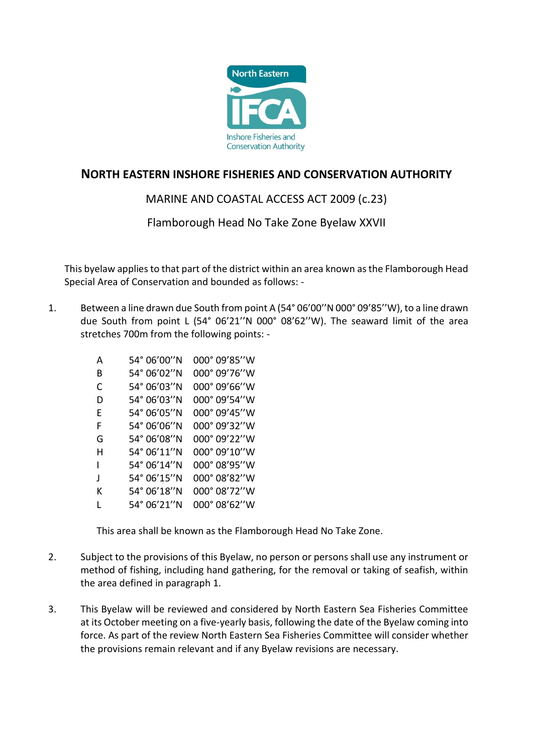

## **NORTH EASTERN INSHORE FISHERIES AND CONSERVATION AUTHORITY**

## MARINE AND COASTAL ACCESS ACT 2009 (c.23)

Flamborough Head No Take Zone Byelaw XXVII

This byelaw applies to that part of the district within an area known as the Flamborough Head Special Area of Conservation and bounded as follows: -

1. Between a line drawn due South from point A (54° 06'00''N 000° 09'85''W), to a line drawn due South from point L (54° 06'21''N 000° 08'62''W). The seaward limit of the area stretches 700m from the following points: -

| A | 54° 06′00′′N | 000° 09'85"W            |
|---|--------------|-------------------------|
| B | 54° 06′02′′N | 000° 09'76"W            |
| C | 54° 06'03''N | $000^{\circ} 09'66''$ W |
| D | 54° 06'03''N | 000° 09'54"W            |
| F | 54° 06'05''N | 000° 09'45"W            |
| F | 54° 06'06''N | 000° 09'32"W            |
| G | 54° 06'08"N  | 000° 09'22"W            |
| н | 54° 06′11″N  | 000° 09'10"W            |
| ı | 54° 06'14''N | 000° 08'95''W           |
| J | 54° 06'15"N  | 000° 08'82"W            |
| к | 54° 06'18"N  | 000° 08'72"W            |
| L | 54° 06′ 21″N | 000° 08'62''W           |

This area shall be known as the Flamborough Head No Take Zone.

- 2. Subject to the provisions of this Byelaw, no person or persons shall use any instrument or method of fishing, including hand gathering, for the removal or taking of seafish, within the area defined in paragraph 1.
- 3. This Byelaw will be reviewed and considered by North Eastern Sea Fisheries Committee at its October meeting on a five-yearly basis, following the date of the Byelaw coming into force. As part of the review North Eastern Sea Fisheries Committee will consider whether the provisions remain relevant and if any Byelaw revisions are necessary.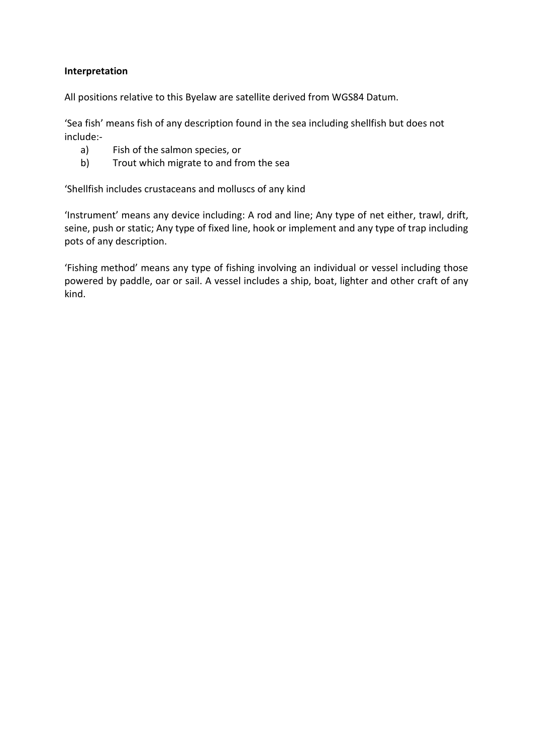## **Interpretation**

All positions relative to this Byelaw are satellite derived from WGS84 Datum.

'Sea fish' means fish of any description found in the sea including shellfish but does not include:-

- a) Fish of the salmon species, or
- b) Trout which migrate to and from the sea

'Shellfish includes crustaceans and molluscs of any kind

'Instrument' means any device including: A rod and line; Any type of net either, trawl, drift, seine, push or static; Any type of fixed line, hook or implement and any type of trap including pots of any description.

'Fishing method' means any type of fishing involving an individual or vessel including those powered by paddle, oar or sail. A vessel includes a ship, boat, lighter and other craft of any kind.